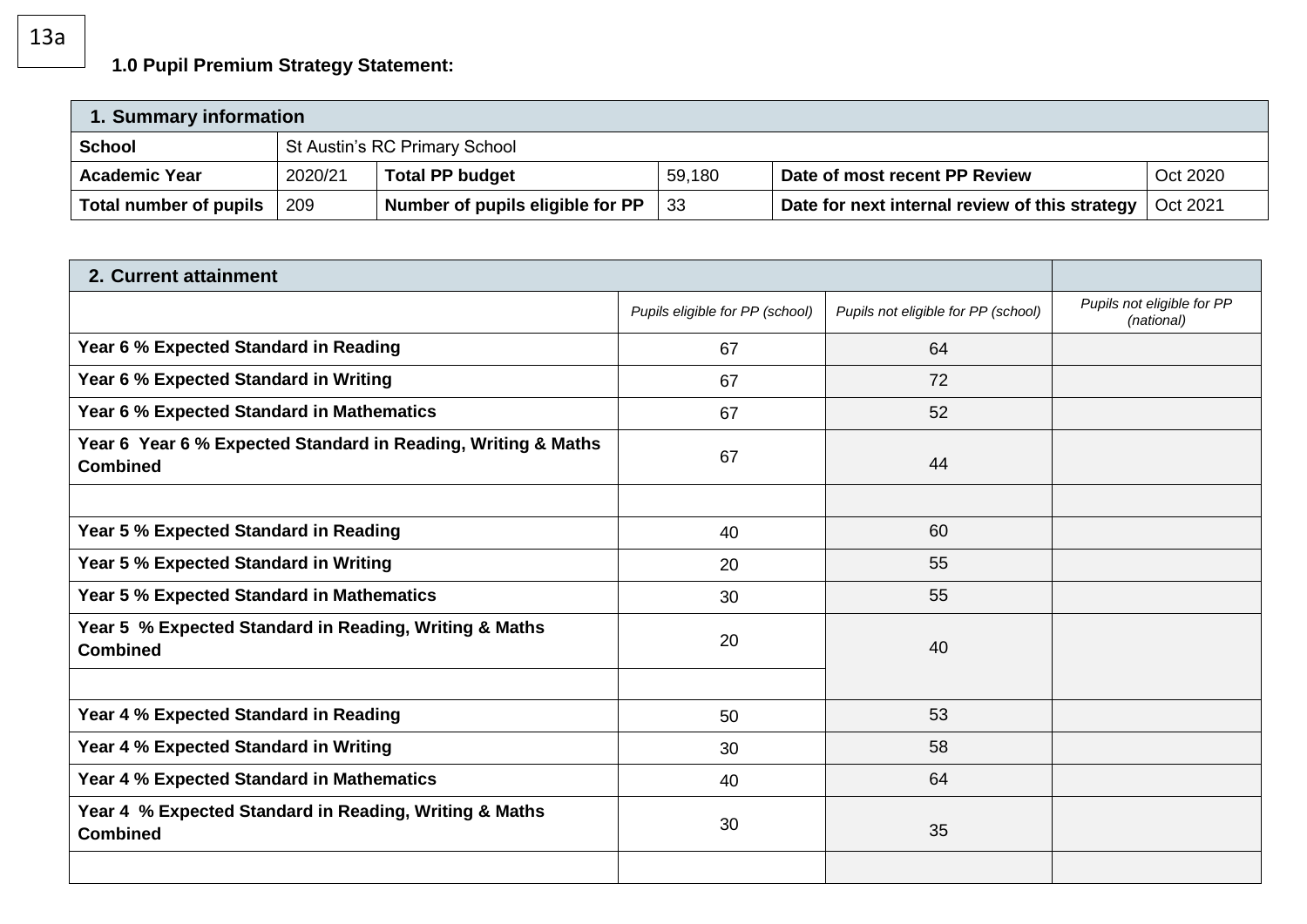## **1.0 Pupil Premium Strategy Statement:**

| 1. Summary information |         |                                  |        |                                                |          |
|------------------------|---------|----------------------------------|--------|------------------------------------------------|----------|
| <b>School</b>          |         | St Austin's RC Primary School    |        |                                                |          |
| <b>Academic Year</b>   | 2020/21 | <b>Total PP budget</b>           | 59,180 | Date of most recent PP Review                  | Oct 2020 |
| Total number of pupils | 209     | Number of pupils eligible for PP | -33    | Date for next internal review of this strategy | Oct 2021 |

| 2. Current attainment                                                            |                                 |                                     |                                          |
|----------------------------------------------------------------------------------|---------------------------------|-------------------------------------|------------------------------------------|
|                                                                                  | Pupils eligible for PP (school) | Pupils not eligible for PP (school) | Pupils not eligible for PP<br>(national) |
| Year 6 % Expected Standard in Reading                                            | 67                              | 64                                  |                                          |
| Year 6 % Expected Standard in Writing                                            | 67                              | 72                                  |                                          |
| Year 6 % Expected Standard in Mathematics                                        | 67                              | 52                                  |                                          |
| Year 6 Year 6 % Expected Standard in Reading, Writing & Maths<br><b>Combined</b> | 67                              | 44                                  |                                          |
|                                                                                  |                                 |                                     |                                          |
| Year 5 % Expected Standard in Reading                                            | 40                              | 60                                  |                                          |
| Year 5 % Expected Standard in Writing                                            | 20                              | 55                                  |                                          |
| Year 5 % Expected Standard in Mathematics                                        | 30                              | 55                                  |                                          |
| Year 5 % Expected Standard in Reading, Writing & Maths<br><b>Combined</b>        | 20                              | 40                                  |                                          |
|                                                                                  |                                 |                                     |                                          |
| Year 4 % Expected Standard in Reading                                            | 50                              | 53                                  |                                          |
| Year 4 % Expected Standard in Writing                                            | 30                              | 58                                  |                                          |
| Year 4 % Expected Standard in Mathematics                                        | 40                              | 64                                  |                                          |
| Year 4 % Expected Standard in Reading, Writing & Maths<br><b>Combined</b>        | 30                              | 35                                  |                                          |
|                                                                                  |                                 |                                     |                                          |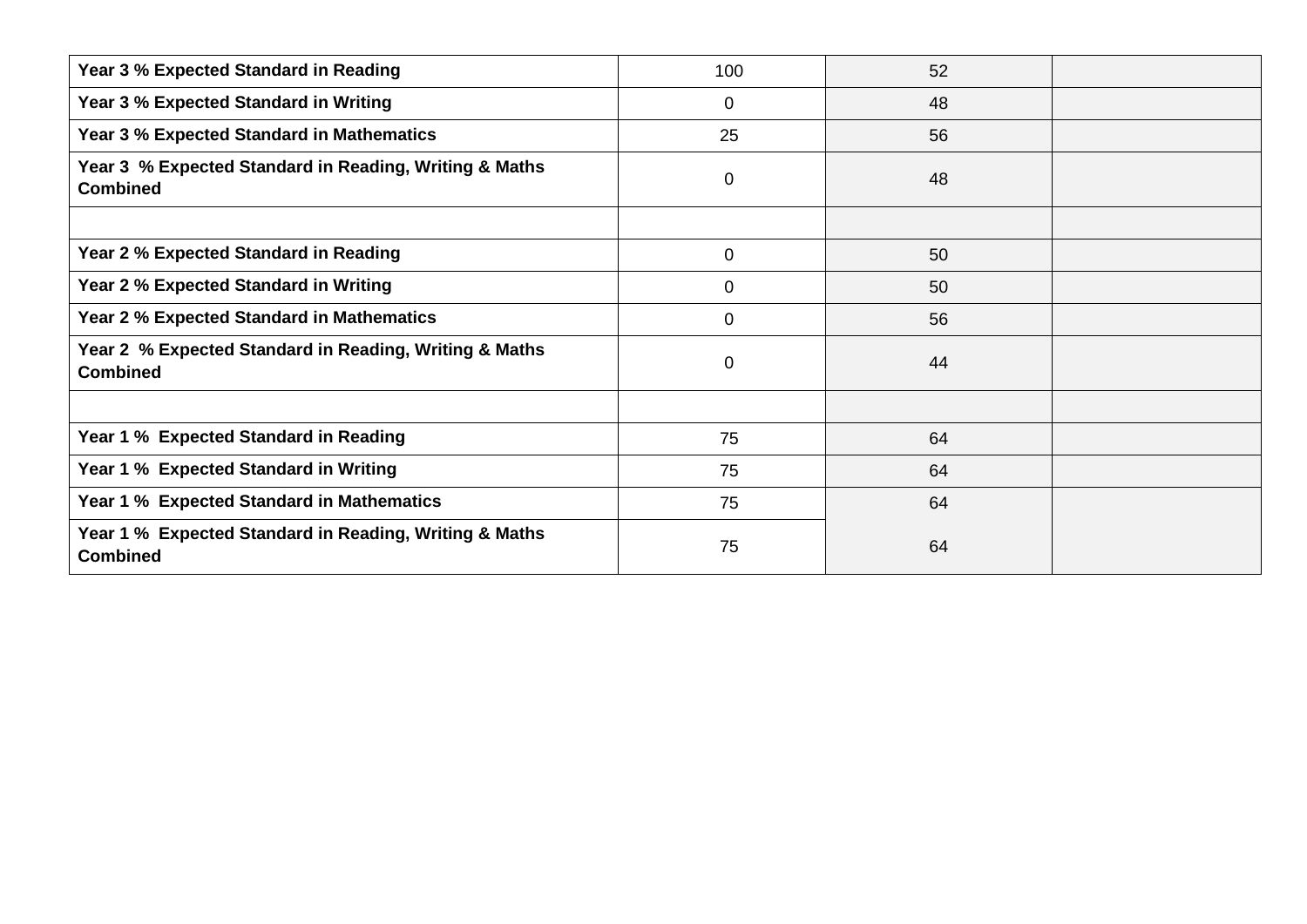| Year 3 % Expected Standard in Reading                                     | 100          | 52 |  |
|---------------------------------------------------------------------------|--------------|----|--|
| Year 3 % Expected Standard in Writing                                     | 0            | 48 |  |
| Year 3 % Expected Standard in Mathematics                                 | 25           | 56 |  |
| Year 3 % Expected Standard in Reading, Writing & Maths<br><b>Combined</b> | $\mathbf 0$  | 48 |  |
|                                                                           |              |    |  |
| Year 2 % Expected Standard in Reading                                     | $\mathbf 0$  | 50 |  |
| Year 2 % Expected Standard in Writing                                     | 0            | 50 |  |
| <b>Year 2 % Expected Standard in Mathematics</b>                          | $\mathbf{0}$ | 56 |  |
| Year 2 % Expected Standard in Reading, Writing & Maths<br><b>Combined</b> | 0            | 44 |  |
|                                                                           |              |    |  |
| Year 1 % Expected Standard in Reading                                     | 75           | 64 |  |
| Year 1 % Expected Standard in Writing                                     | 75           | 64 |  |
| Year 1 % Expected Standard in Mathematics                                 | 75           | 64 |  |
| Year 1 % Expected Standard in Reading, Writing & Maths<br><b>Combined</b> | 75           | 64 |  |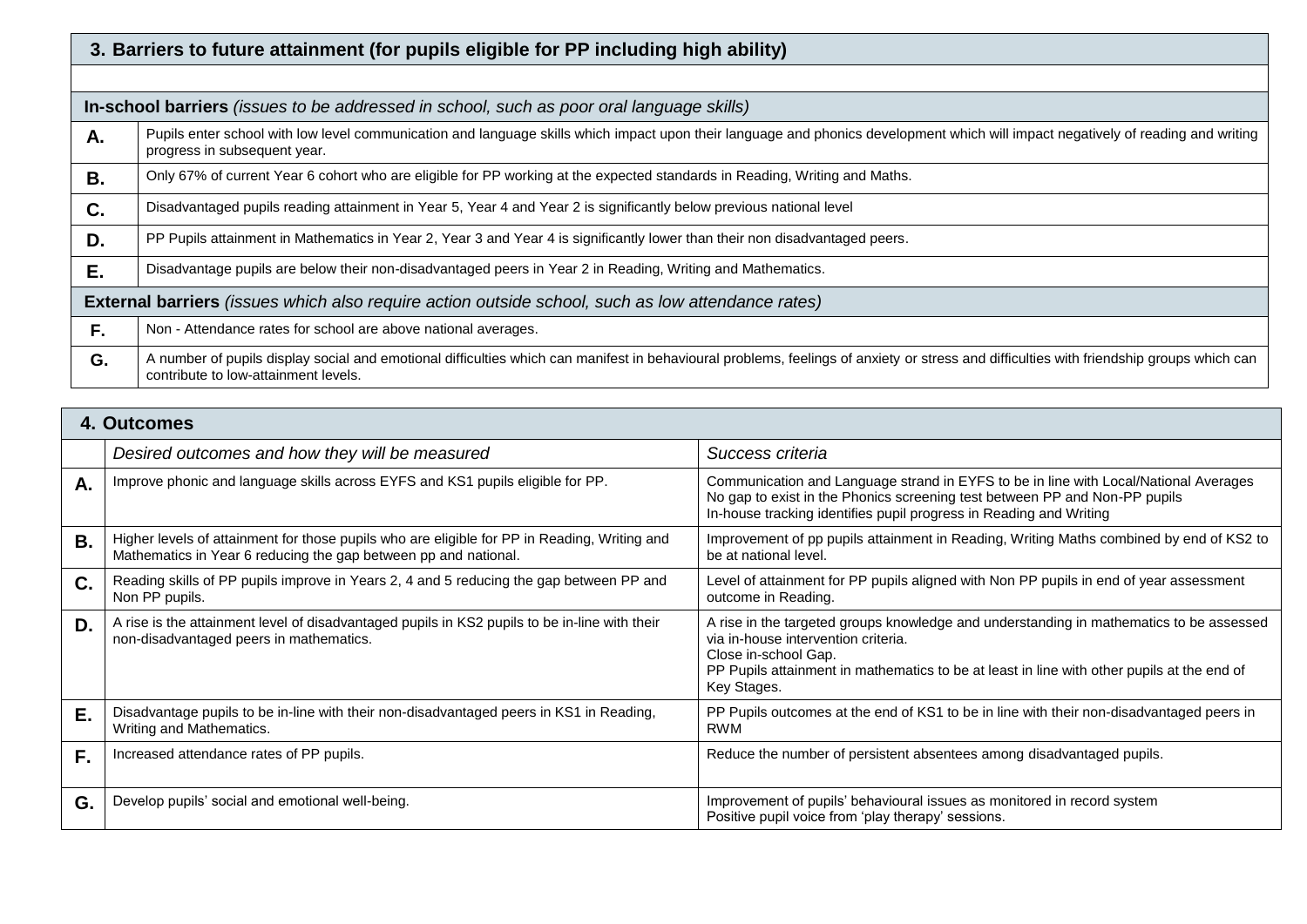|    | 3. Barriers to future attainment (for pupils eligible for PP including high ability)                                                                                                                                             |  |  |  |
|----|----------------------------------------------------------------------------------------------------------------------------------------------------------------------------------------------------------------------------------|--|--|--|
|    |                                                                                                                                                                                                                                  |  |  |  |
|    | In-school barriers (issues to be addressed in school, such as poor oral language skills)                                                                                                                                         |  |  |  |
| А. | Pupils enter school with low level communication and language skills which impact upon their language and phonics development which will impact negatively of reading and writing<br>progress in subsequent year.                |  |  |  |
| В. | Only 67% of current Year 6 cohort who are eligible for PP working at the expected standards in Reading, Writing and Maths.                                                                                                       |  |  |  |
| C. | Disadvantaged pupils reading attainment in Year 5, Year 4 and Year 2 is significantly below previous national level                                                                                                              |  |  |  |
| D. | PP Pupils attainment in Mathematics in Year 2, Year 3 and Year 4 is significantly lower than their non disadvantaged peers.                                                                                                      |  |  |  |
| Е. | Disadvantage pupils are below their non-disadvantaged peers in Year 2 in Reading, Writing and Mathematics.                                                                                                                       |  |  |  |
|    | External barriers (issues which also require action outside school, such as low attendance rates)                                                                                                                                |  |  |  |
| F. | Non - Attendance rates for school are above national averages.                                                                                                                                                                   |  |  |  |
| G. | A number of pupils display social and emotional difficulties which can manifest in behavioural problems, feelings of anxiety or stress and difficulties with friendship groups which can<br>contribute to low-attainment levels. |  |  |  |

## **4. Outcomes**

|    | Desired outcomes and how they will be measured                                                                                                                  | Success criteria                                                                                                                                                                                                                                                    |
|----|-----------------------------------------------------------------------------------------------------------------------------------------------------------------|---------------------------------------------------------------------------------------------------------------------------------------------------------------------------------------------------------------------------------------------------------------------|
| Α. | Improve phonic and language skills across EYFS and KS1 pupils eligible for PP.                                                                                  | Communication and Language strand in EYFS to be in line with Local/National Averages<br>No gap to exist in the Phonics screening test between PP and Non-PP pupils<br>In-house tracking identifies pupil progress in Reading and Writing                            |
| В. | Higher levels of attainment for those pupils who are eligible for PP in Reading, Writing and<br>Mathematics in Year 6 reducing the gap between pp and national. | Improvement of pp pupils attainment in Reading, Writing Maths combined by end of KS2 to<br>be at national level.                                                                                                                                                    |
| C. | Reading skills of PP pupils improve in Years 2, 4 and 5 reducing the gap between PP and<br>Non PP pupils.                                                       | Level of attainment for PP pupils aligned with Non PP pupils in end of year assessment<br>outcome in Reading.                                                                                                                                                       |
| D. | A rise is the attainment level of disadvantaged pupils in KS2 pupils to be in-line with their<br>non-disadvantaged peers in mathematics.                        | A rise in the targeted groups knowledge and understanding in mathematics to be assessed<br>via in-house intervention criteria.<br>Close in-school Gap.<br>PP Pupils attainment in mathematics to be at least in line with other pupils at the end of<br>Key Stages. |
| Е. | Disadvantage pupils to be in-line with their non-disadvantaged peers in KS1 in Reading,<br>Writing and Mathematics.                                             | PP Pupils outcomes at the end of KS1 to be in line with their non-disadvantaged peers in<br><b>RWM</b>                                                                                                                                                              |
| F. | Increased attendance rates of PP pupils.                                                                                                                        | Reduce the number of persistent absentees among disadvantaged pupils.                                                                                                                                                                                               |
| G. | Develop pupils' social and emotional well-being.                                                                                                                | Improvement of pupils' behavioural issues as monitored in record system<br>Positive pupil voice from 'play therapy' sessions.                                                                                                                                       |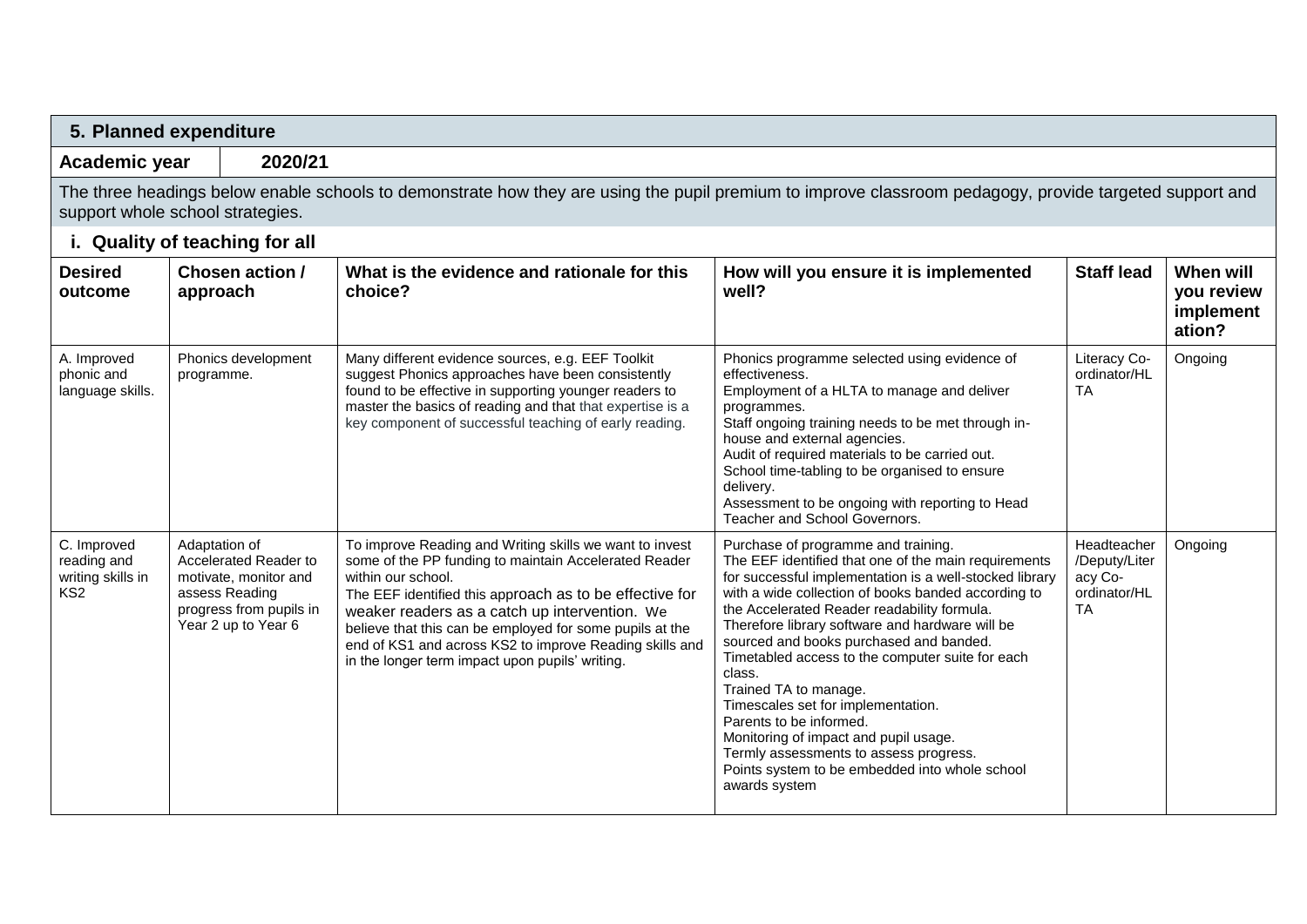|                                                                    | 5. Planned expenditure                                                                                                                                                                      |                                                                                                                                                                                                                                                                                                                                                                                                                              |                                                                                                                                                                                                                                                                                                                                                                                                                                                                                                                                                                                                                                                                          |                                                                      |                                                |
|--------------------------------------------------------------------|---------------------------------------------------------------------------------------------------------------------------------------------------------------------------------------------|------------------------------------------------------------------------------------------------------------------------------------------------------------------------------------------------------------------------------------------------------------------------------------------------------------------------------------------------------------------------------------------------------------------------------|--------------------------------------------------------------------------------------------------------------------------------------------------------------------------------------------------------------------------------------------------------------------------------------------------------------------------------------------------------------------------------------------------------------------------------------------------------------------------------------------------------------------------------------------------------------------------------------------------------------------------------------------------------------------------|----------------------------------------------------------------------|------------------------------------------------|
| Academic year                                                      | 2020/21                                                                                                                                                                                     |                                                                                                                                                                                                                                                                                                                                                                                                                              |                                                                                                                                                                                                                                                                                                                                                                                                                                                                                                                                                                                                                                                                          |                                                                      |                                                |
|                                                                    | The three headings below enable schools to demonstrate how they are using the pupil premium to improve classroom pedagogy, provide targeted support and<br>support whole school strategies. |                                                                                                                                                                                                                                                                                                                                                                                                                              |                                                                                                                                                                                                                                                                                                                                                                                                                                                                                                                                                                                                                                                                          |                                                                      |                                                |
|                                                                    | i. Quality of teaching for all                                                                                                                                                              |                                                                                                                                                                                                                                                                                                                                                                                                                              |                                                                                                                                                                                                                                                                                                                                                                                                                                                                                                                                                                                                                                                                          |                                                                      |                                                |
| <b>Desired</b><br>outcome                                          | Chosen action /<br>approach                                                                                                                                                                 | What is the evidence and rationale for this<br>choice?                                                                                                                                                                                                                                                                                                                                                                       | How will you ensure it is implemented<br>well?                                                                                                                                                                                                                                                                                                                                                                                                                                                                                                                                                                                                                           | <b>Staff lead</b>                                                    | When will<br>you review<br>implement<br>ation? |
| A. Improved<br>phonic and<br>language skills.                      | Phonics development<br>programme.                                                                                                                                                           | Many different evidence sources, e.g. EEF Toolkit<br>suggest Phonics approaches have been consistently<br>found to be effective in supporting younger readers to<br>master the basics of reading and that that expertise is a<br>key component of successful teaching of early reading.                                                                                                                                      | Phonics programme selected using evidence of<br>effectiveness.<br>Employment of a HLTA to manage and deliver<br>programmes.<br>Staff ongoing training needs to be met through in-<br>house and external agencies.<br>Audit of required materials to be carried out.<br>School time-tabling to be organised to ensure<br>delivery.<br>Assessment to be ongoing with reporting to Head<br>Teacher and School Governors.                                                                                                                                                                                                                                                    | Literacy Co-<br>ordinator/HL<br>TA                                   | Ongoing                                        |
| C. Improved<br>reading and<br>writing skills in<br>KS <sub>2</sub> | Adaptation of<br>Accelerated Reader to<br>motivate, monitor and<br>assess Reading<br>progress from pupils in<br>Year 2 up to Year 6                                                         | To improve Reading and Writing skills we want to invest<br>some of the PP funding to maintain Accelerated Reader<br>within our school.<br>The EEF identified this approach as to be effective for<br>weaker readers as a catch up intervention. We<br>believe that this can be employed for some pupils at the<br>end of KS1 and across KS2 to improve Reading skills and<br>in the longer term impact upon pupils' writing. | Purchase of programme and training.<br>The EEF identified that one of the main requirements<br>for successful implementation is a well-stocked library<br>with a wide collection of books banded according to<br>the Accelerated Reader readability formula.<br>Therefore library software and hardware will be<br>sourced and books purchased and banded.<br>Timetabled access to the computer suite for each<br>class.<br>Trained TA to manage.<br>Timescales set for implementation.<br>Parents to be informed.<br>Monitoring of impact and pupil usage.<br>Termly assessments to assess progress.<br>Points system to be embedded into whole school<br>awards system | Headteacher<br>/Deputy/Liter<br>acy Co-<br>ordinator/HL<br><b>TA</b> | Ongoing                                        |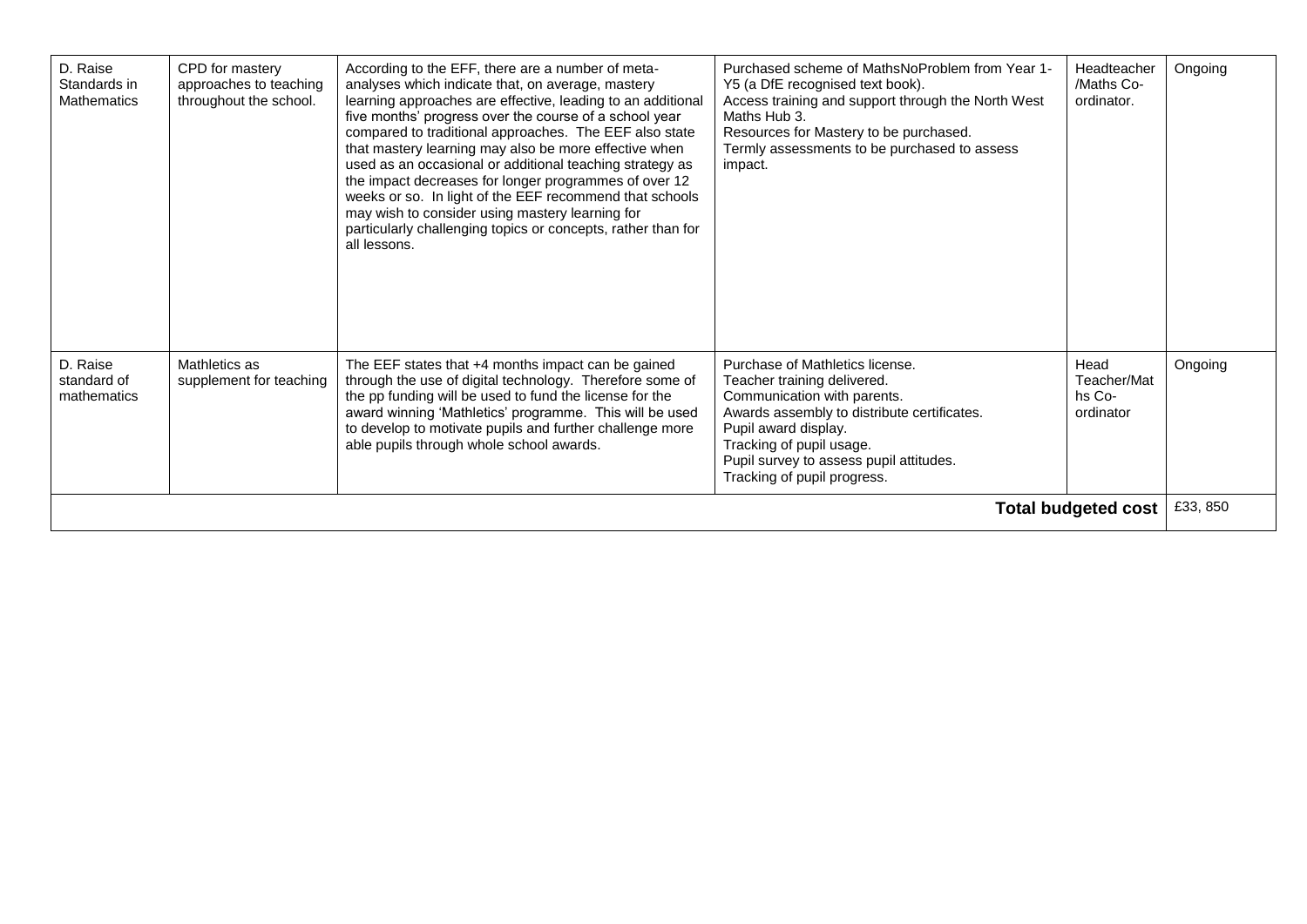| D. Raise<br>Standards in<br><b>Mathematics</b> | CPD for mastery<br>approaches to teaching<br>throughout the school. | According to the EFF, there are a number of meta-<br>analyses which indicate that, on average, mastery<br>learning approaches are effective, leading to an additional<br>five months' progress over the course of a school year<br>compared to traditional approaches. The EEF also state<br>that mastery learning may also be more effective when<br>used as an occasional or additional teaching strategy as<br>the impact decreases for longer programmes of over 12<br>weeks or so. In light of the EEF recommend that schools<br>may wish to consider using mastery learning for<br>particularly challenging topics or concepts, rather than for<br>all lessons. | Purchased scheme of MathsNoProblem from Year 1-<br>Y5 (a DfE recognised text book).<br>Access training and support through the North West<br>Maths Hub 3.<br>Resources for Mastery to be purchased.<br>Termly assessments to be purchased to assess<br>impact.             | <b>Headteacher</b><br>/Maths Co-<br>ordinator. | Ongoing  |
|------------------------------------------------|---------------------------------------------------------------------|-----------------------------------------------------------------------------------------------------------------------------------------------------------------------------------------------------------------------------------------------------------------------------------------------------------------------------------------------------------------------------------------------------------------------------------------------------------------------------------------------------------------------------------------------------------------------------------------------------------------------------------------------------------------------|----------------------------------------------------------------------------------------------------------------------------------------------------------------------------------------------------------------------------------------------------------------------------|------------------------------------------------|----------|
| D. Raise<br>standard of<br>mathematics         | Mathletics as<br>supplement for teaching                            | The EEF states that +4 months impact can be gained<br>through the use of digital technology. Therefore some of<br>the pp funding will be used to fund the license for the<br>award winning 'Mathletics' programme. This will be used<br>to develop to motivate pupils and further challenge more<br>able pupils through whole school awards.                                                                                                                                                                                                                                                                                                                          | Purchase of Mathletics license.<br>Teacher training delivered.<br>Communication with parents.<br>Awards assembly to distribute certificates.<br>Pupil award display.<br>Tracking of pupil usage.<br>Pupil survey to assess pupil attitudes.<br>Tracking of pupil progress. | Head<br>Teacher/Mat<br>hs Co-<br>ordinator     | Ongoing  |
|                                                |                                                                     |                                                                                                                                                                                                                                                                                                                                                                                                                                                                                                                                                                                                                                                                       |                                                                                                                                                                                                                                                                            | <b>Total budgeted cost</b>                     | £33, 850 |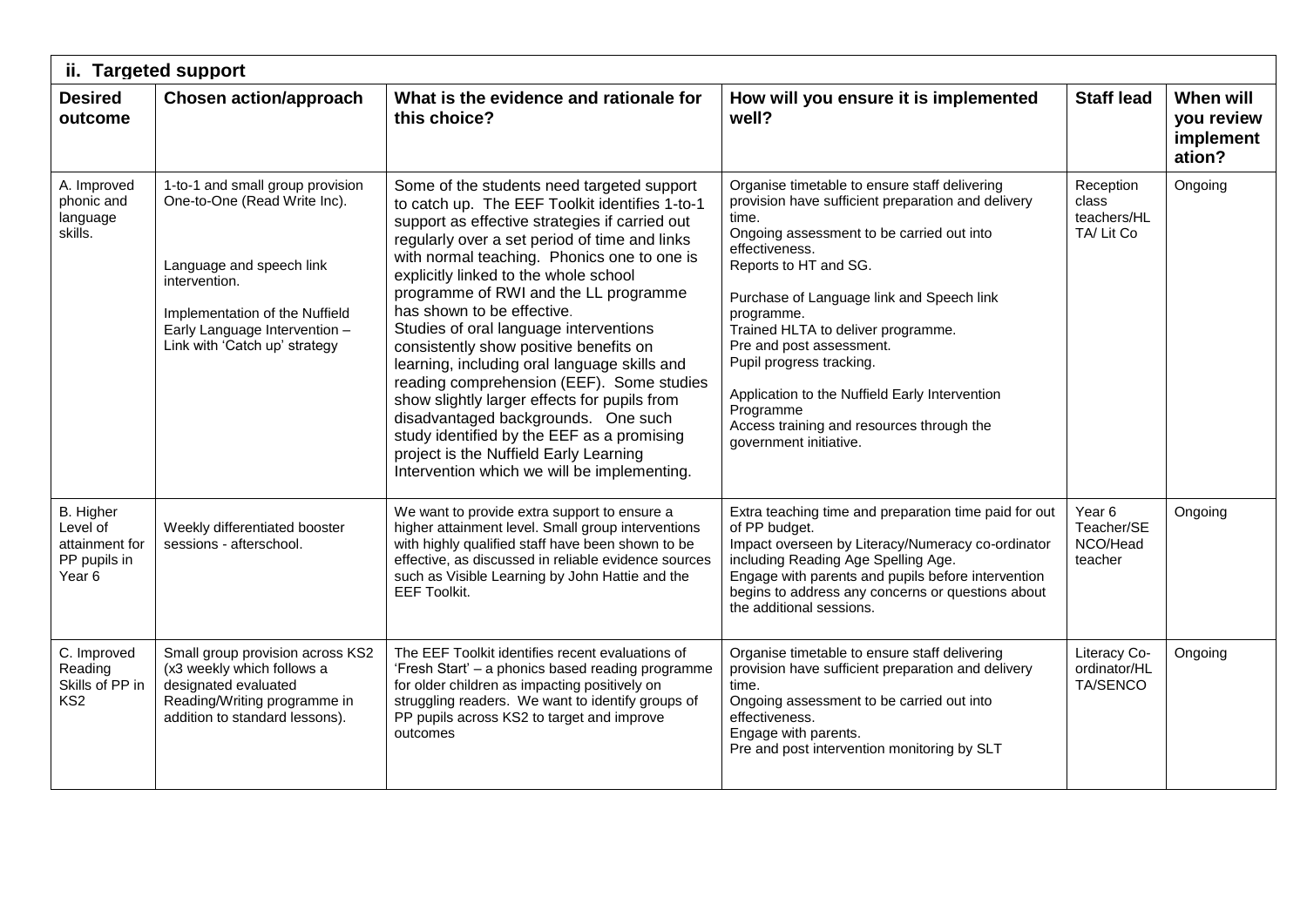| ii. Targeted support                                                         |                                                                                                                                                                                                                   |                                                                                                                                                                                                                                                                                                                                                                                                                                                                                                                                                                                                                                                                                                                                                                               |                                                                                                                                                                                                                                                                                                                                                                                                                                                                                                     |                                                        |                                                |  |  |
|------------------------------------------------------------------------------|-------------------------------------------------------------------------------------------------------------------------------------------------------------------------------------------------------------------|-------------------------------------------------------------------------------------------------------------------------------------------------------------------------------------------------------------------------------------------------------------------------------------------------------------------------------------------------------------------------------------------------------------------------------------------------------------------------------------------------------------------------------------------------------------------------------------------------------------------------------------------------------------------------------------------------------------------------------------------------------------------------------|-----------------------------------------------------------------------------------------------------------------------------------------------------------------------------------------------------------------------------------------------------------------------------------------------------------------------------------------------------------------------------------------------------------------------------------------------------------------------------------------------------|--------------------------------------------------------|------------------------------------------------|--|--|
| <b>Desired</b><br>outcome                                                    | <b>Chosen action/approach</b>                                                                                                                                                                                     | What is the evidence and rationale for<br>this choice?                                                                                                                                                                                                                                                                                                                                                                                                                                                                                                                                                                                                                                                                                                                        | How will you ensure it is implemented<br>well?                                                                                                                                                                                                                                                                                                                                                                                                                                                      | <b>Staff lead</b>                                      | When will<br>you review<br>implement<br>ation? |  |  |
| A. Improved<br>phonic and<br>language<br>skills.                             | 1-to-1 and small group provision<br>One-to-One (Read Write Inc).<br>Language and speech link<br>intervention.<br>Implementation of the Nuffield<br>Early Language Intervention -<br>Link with 'Catch up' strategy | Some of the students need targeted support<br>to catch up. The EEF Toolkit identifies 1-to-1<br>support as effective strategies if carried out<br>regularly over a set period of time and links<br>with normal teaching. Phonics one to one is<br>explicitly linked to the whole school<br>programme of RWI and the LL programme<br>has shown to be effective.<br>Studies of oral language interventions<br>consistently show positive benefits on<br>learning, including oral language skills and<br>reading comprehension (EEF). Some studies<br>show slightly larger effects for pupils from<br>disadvantaged backgrounds. One such<br>study identified by the EEF as a promising<br>project is the Nuffield Early Learning<br>Intervention which we will be implementing. | Organise timetable to ensure staff delivering<br>provision have sufficient preparation and delivery<br>time.<br>Ongoing assessment to be carried out into<br>effectiveness.<br>Reports to HT and SG.<br>Purchase of Language link and Speech link<br>programme.<br>Trained HLTA to deliver programme.<br>Pre and post assessment.<br>Pupil progress tracking.<br>Application to the Nuffield Early Intervention<br>Programme<br>Access training and resources through the<br>government initiative. | Reception<br>class<br>teachers/HL<br>TA/Lit Co         | Ongoing                                        |  |  |
| B. Higher<br>Level of<br>attainment for<br>PP pupils in<br>Year <sub>6</sub> | Weekly differentiated booster<br>sessions - afterschool.                                                                                                                                                          | We want to provide extra support to ensure a<br>higher attainment level. Small group interventions<br>with highly qualified staff have been shown to be<br>effective, as discussed in reliable evidence sources<br>such as Visible Learning by John Hattie and the<br><b>EEF Toolkit.</b>                                                                                                                                                                                                                                                                                                                                                                                                                                                                                     | Extra teaching time and preparation time paid for out<br>of PP budget.<br>Impact overseen by Literacy/Numeracy co-ordinator<br>including Reading Age Spelling Age.<br>Engage with parents and pupils before intervention<br>begins to address any concerns or questions about<br>the additional sessions.                                                                                                                                                                                           | Year <sub>6</sub><br>Teacher/SE<br>NCO/Head<br>teacher | Ongoing                                        |  |  |
| C. Improved<br>Reading<br>Skills of PP in<br>KS <sub>2</sub>                 | Small group provision across KS2<br>(x3 weekly which follows a<br>designated evaluated<br>Reading/Writing programme in<br>addition to standard lessons).                                                          | The EEF Toolkit identifies recent evaluations of<br>'Fresh Start' - a phonics based reading programme<br>for older children as impacting positively on<br>struggling readers. We want to identify groups of<br>PP pupils across KS2 to target and improve<br>outcomes                                                                                                                                                                                                                                                                                                                                                                                                                                                                                                         | Organise timetable to ensure staff delivering<br>provision have sufficient preparation and delivery<br>time.<br>Ongoing assessment to be carried out into<br>effectiveness.<br>Engage with parents.<br>Pre and post intervention monitoring by SLT                                                                                                                                                                                                                                                  | Literacy Co-<br>ordinator/HL<br><b>TA/SENCO</b>        | Ongoing                                        |  |  |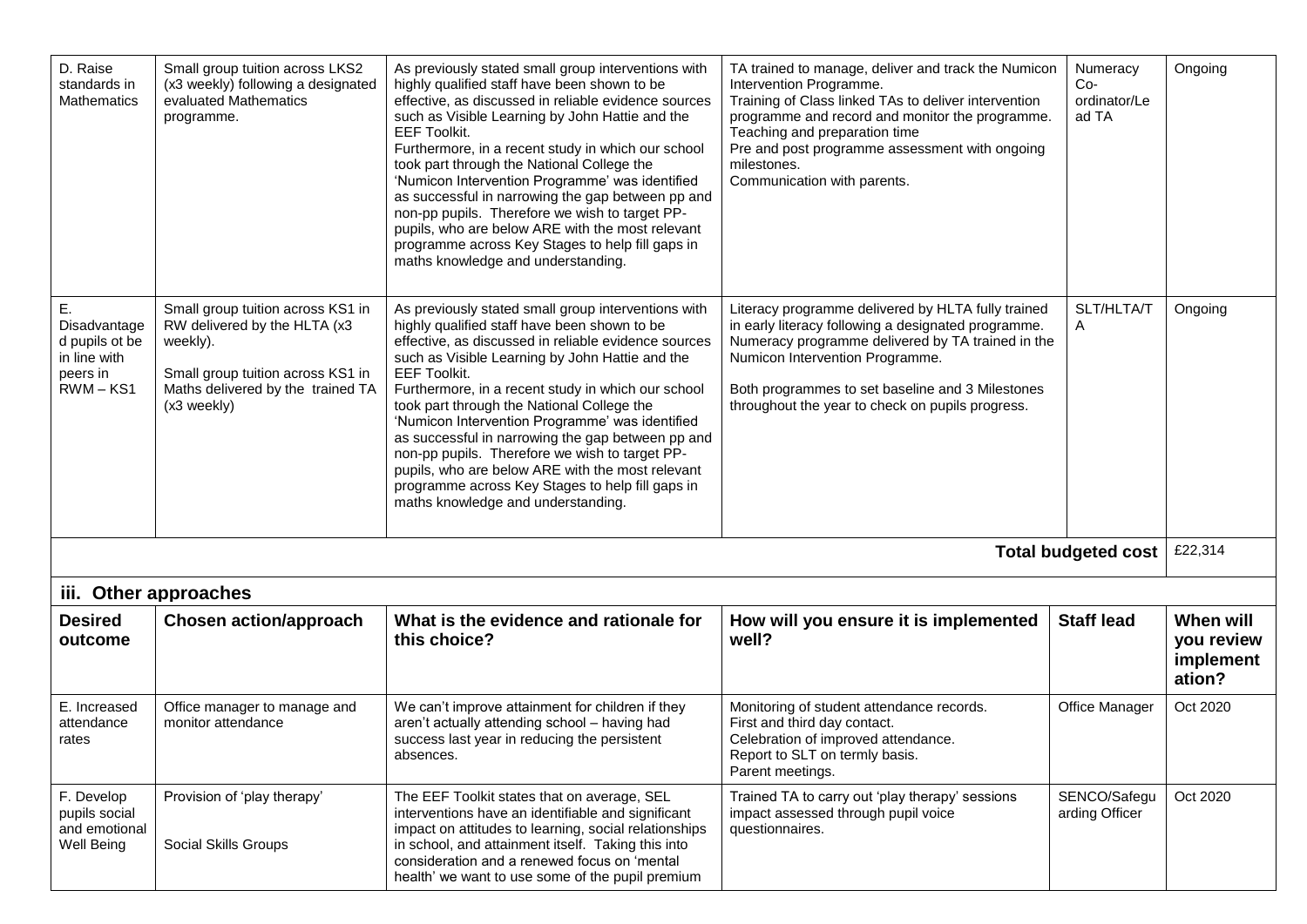| D. Raise<br>standards in<br><b>Mathematics</b>                                  | Small group tuition across LKS2<br>(x3 weekly) following a designated<br>evaluated Mathematics<br>programme.                                                           | As previously stated small group interventions with<br>highly qualified staff have been shown to be<br>effective, as discussed in reliable evidence sources<br>such as Visible Learning by John Hattie and the<br><b>EEF Toolkit.</b><br>Furthermore, in a recent study in which our school<br>took part through the National College the<br>'Numicon Intervention Programme' was identified<br>as successful in narrowing the gap between pp and<br>non-pp pupils. Therefore we wish to target PP-<br>pupils, who are below ARE with the most relevant<br>programme across Key Stages to help fill gaps in<br>maths knowledge and understanding. | TA trained to manage, deliver and track the Numicon<br>Intervention Programme.<br>Training of Class linked TAs to deliver intervention<br>programme and record and monitor the programme.<br>Teaching and preparation time<br>Pre and post programme assessment with ongoing<br>milestones.<br>Communication with parents. | Numeracy<br>$Co-$<br>ordinator/Le<br>ad TA | Ongoing                                               |
|---------------------------------------------------------------------------------|------------------------------------------------------------------------------------------------------------------------------------------------------------------------|---------------------------------------------------------------------------------------------------------------------------------------------------------------------------------------------------------------------------------------------------------------------------------------------------------------------------------------------------------------------------------------------------------------------------------------------------------------------------------------------------------------------------------------------------------------------------------------------------------------------------------------------------|----------------------------------------------------------------------------------------------------------------------------------------------------------------------------------------------------------------------------------------------------------------------------------------------------------------------------|--------------------------------------------|-------------------------------------------------------|
| Ε.<br>Disadvantage<br>d pupils ot be<br>in line with<br>peers in<br>$RWM - KS1$ | Small group tuition across KS1 in<br>RW delivered by the HLTA (x3<br>weekly).<br>Small group tuition across KS1 in<br>Maths delivered by the trained TA<br>(x3 weekly) | As previously stated small group interventions with<br>highly qualified staff have been shown to be<br>effective, as discussed in reliable evidence sources<br>such as Visible Learning by John Hattie and the<br><b>EEF Toolkit.</b><br>Furthermore, in a recent study in which our school<br>took part through the National College the<br>'Numicon Intervention Programme' was identified<br>as successful in narrowing the gap between pp and<br>non-pp pupils. Therefore we wish to target PP-<br>pupils, who are below ARE with the most relevant<br>programme across Key Stages to help fill gaps in<br>maths knowledge and understanding. | Literacy programme delivered by HLTA fully trained<br>in early literacy following a designated programme.<br>Numeracy programme delivered by TA trained in the<br>Numicon Intervention Programme.<br>Both programmes to set baseline and 3 Milestones<br>throughout the year to check on pupils progress.                  | SLT/HLTA/T<br>$\mathsf{A}$                 | Ongoing                                               |
|                                                                                 |                                                                                                                                                                        |                                                                                                                                                                                                                                                                                                                                                                                                                                                                                                                                                                                                                                                   |                                                                                                                                                                                                                                                                                                                            | <b>Total budgeted cost</b>                 | £22,314                                               |
| iii.                                                                            | Other approaches                                                                                                                                                       |                                                                                                                                                                                                                                                                                                                                                                                                                                                                                                                                                                                                                                                   |                                                                                                                                                                                                                                                                                                                            |                                            |                                                       |
| <b>Desired</b><br>outcome                                                       | <b>Chosen action/approach</b>                                                                                                                                          | What is the evidence and rationale for<br>this choice?                                                                                                                                                                                                                                                                                                                                                                                                                                                                                                                                                                                            | How will you ensure it is implemented<br>well?                                                                                                                                                                                                                                                                             | <b>Staff lead</b>                          | <b>When will</b><br>you review<br>implement<br>ation? |
| E. Increased<br>attendance<br>rates                                             | Office manager to manage and<br>monitor attendance                                                                                                                     | We can't improve attainment for children if they<br>aren't actually attending school - having had<br>success last year in reducing the persistent<br>absences.                                                                                                                                                                                                                                                                                                                                                                                                                                                                                    | Monitoring of student attendance records.<br>First and third day contact.<br>Celebration of improved attendance.<br>Report to SLT on termly basis.<br>Parent meetings.                                                                                                                                                     | <b>Office Manager</b>                      | Oct 2020                                              |
| F. Develop<br>pupils social<br>and emotional<br>Well Being                      | Provision of 'play therapy'<br>Social Skills Groups                                                                                                                    | The EEF Toolkit states that on average, SEL<br>interventions have an identifiable and significant<br>impact on attitudes to learning, social relationships<br>in school, and attainment itself. Taking this into<br>consideration and a renewed focus on 'mental<br>health' we want to use some of the pupil premium                                                                                                                                                                                                                                                                                                                              | Trained TA to carry out 'play therapy' sessions<br>impact assessed through pupil voice<br>questionnaires.                                                                                                                                                                                                                  | SENCO/Safegu<br>arding Officer             | Oct 2020                                              |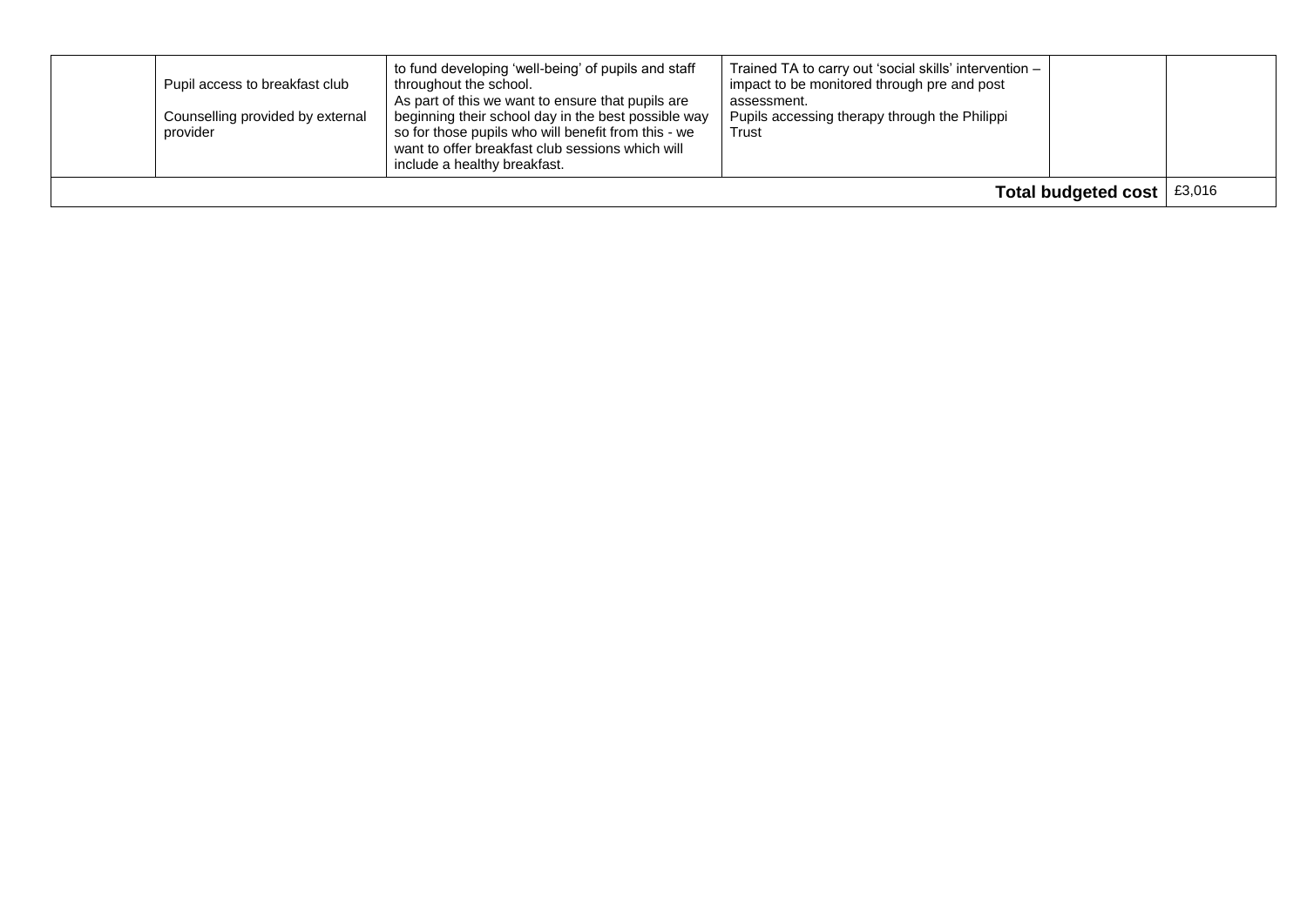|                     | Pupil access to breakfast club<br>Counselling provided by external<br>provider | to fund developing 'well-being' of pupils and staff<br>throughout the school.<br>As part of this we want to ensure that pupils are<br>beginning their school day in the best possible way<br>so for those pupils who will benefit from this - we<br>want to offer breakfast club sessions which will<br>include a healthy breakfast. | Trained TA to carry out 'social skills' intervention -<br>impact to be monitored through pre and post<br>assessment.<br>Pupils accessing therapy through the Philippi<br>Trust |  |        |
|---------------------|--------------------------------------------------------------------------------|--------------------------------------------------------------------------------------------------------------------------------------------------------------------------------------------------------------------------------------------------------------------------------------------------------------------------------------|--------------------------------------------------------------------------------------------------------------------------------------------------------------------------------|--|--------|
| Total budgeted cost |                                                                                |                                                                                                                                                                                                                                                                                                                                      |                                                                                                                                                                                |  | £3,016 |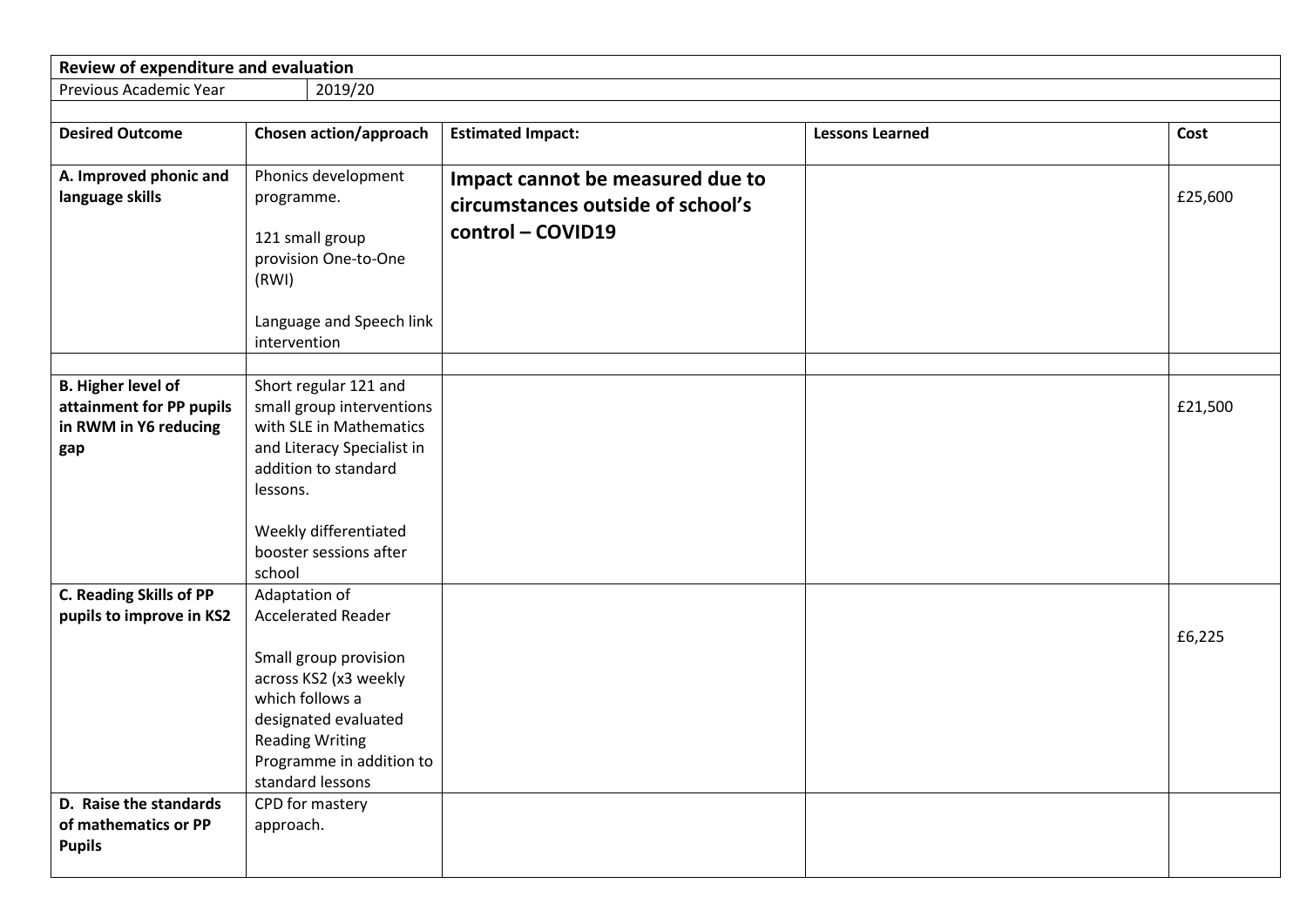| Review of expenditure and evaluation                            |                                                                                                                                            |                                                                                            |                        |         |
|-----------------------------------------------------------------|--------------------------------------------------------------------------------------------------------------------------------------------|--------------------------------------------------------------------------------------------|------------------------|---------|
| Previous Academic Year                                          | 2019/20                                                                                                                                    |                                                                                            |                        |         |
|                                                                 |                                                                                                                                            |                                                                                            |                        |         |
| <b>Desired Outcome</b>                                          | <b>Chosen action/approach</b>                                                                                                              | <b>Estimated Impact:</b>                                                                   | <b>Lessons Learned</b> | Cost    |
| A. Improved phonic and<br>language skills                       | Phonics development<br>programme.<br>121 small group<br>provision One-to-One<br>(RWI)                                                      | Impact cannot be measured due to<br>circumstances outside of school's<br>control - COVID19 |                        | £25,600 |
|                                                                 | Language and Speech link<br>intervention                                                                                                   |                                                                                            |                        |         |
| <b>B. Higher level of</b><br>attainment for PP pupils           | Short regular 121 and<br>small group interventions                                                                                         |                                                                                            |                        | £21,500 |
| in RWM in Y6 reducing<br>gap                                    | with SLE in Mathematics<br>and Literacy Specialist in<br>addition to standard<br>lessons.                                                  |                                                                                            |                        |         |
|                                                                 | Weekly differentiated<br>booster sessions after<br>school                                                                                  |                                                                                            |                        |         |
| <b>C. Reading Skills of PP</b><br>pupils to improve in KS2      | Adaptation of<br><b>Accelerated Reader</b><br>Small group provision                                                                        |                                                                                            |                        | £6,225  |
|                                                                 | across KS2 (x3 weekly<br>which follows a<br>designated evaluated<br><b>Reading Writing</b><br>Programme in addition to<br>standard lessons |                                                                                            |                        |         |
| D. Raise the standards<br>of mathematics or PP<br><b>Pupils</b> | CPD for mastery<br>approach.                                                                                                               |                                                                                            |                        |         |